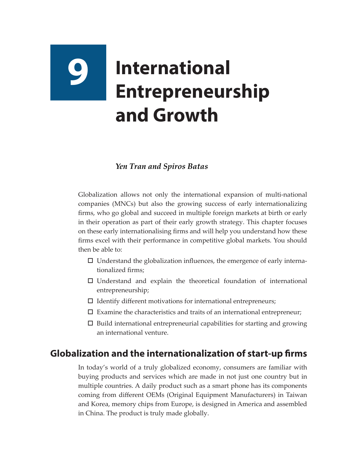# **9 International Entrepreneurship and Growth**

#### *Yen Tran and Spiros Batas*

Globalization allows not only the international expansion of multi-national companies (MNCs) but also the growing success of early internationalizing firms, who go global and succeed in multiple foreign markets at birth or early in their operation as part of their early growth strategy. This chapter focuses on these early internationalising firms and will help you understand how these firms excel with their performance in competitive global markets. You should then be able to:

- $\square$  Understand the globalization influences, the emergence of early internationalized firms;
- $\square$  Understand and explain the theoretical foundation of international entrepreneurship;
- $\Box$  Identify different motivations for international entrepreneurs;
- $\square$  Examine the characteristics and traits of an international entrepreneur;
- $\square$  Build international entrepreneurial capabilities for starting and growing an international venture.

## **Globalization and the internationalization of start-up firms**

In today's world of a truly globalized economy, consumers are familiar with buying products and services which are made in not just one country but in multiple countries. A daily product such as a smart phone has its components coming from different OEMs (Original Equipment Manufacturers) in Taiwan and Korea, memory chips from Europe, is designed in America and assembled in China. The product is truly made globally.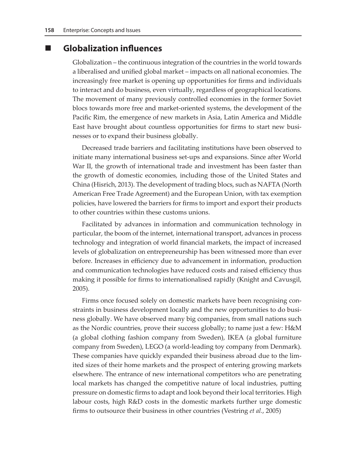#### **Globalization influences**

Globalization – the continuous integration of the countries in the world towards a liberalised and unified global market – impacts on all national economies. The increasingly free market is opening up opportunities for firms and individuals to interact and do business, even virtually, regardless of geographical locations. The movement of many previously controlled economies in the former Soviet blocs towards more free and market-oriented systems, the development of the Pacific Rim, the emergence of new markets in Asia, Latin America and Middle East have brought about countless opportunities for firms to start new businesses or to expand their business globally.

Decreased trade barriers and facilitating institutions have been observed to initiate many international business set-ups and expansions. Since after World War II, the growth of international trade and investment has been faster than the growth of domestic economies, including those of the United States and China (Hisrich, 2013). The development of trading blocs, such as NAFTA (North American Free Trade Agreement) and the European Union, with tax exemption policies, have lowered the barriers for firms to import and export their products to other countries within these customs unions.

Facilitated by advances in information and communication technology in particular, the boom of the internet, international transport, advances in process technology and integration of world financial markets, the impact of increased levels of globalization on entrepreneurship has been witnessed more than ever before. Increases in efficiency due to advancement in information, production and communication technologies have reduced costs and raised efficiency thus making it possible for firms to internationalised rapidly (Knight and Cavusgil, 2005).

Firms once focused solely on domestic markets have been recognising constraints in business development locally and the new opportunities to do business globally. We have observed many big companies, from small nations such as the Nordic countries, prove their success globally; to name just a few: H&M (a global clothing fashion company from Sweden), IKEA (a global furniture company from Sweden), LEGO (a world-leading toy company from Denmark). These companies have quickly expanded their business abroad due to the limited sizes of their home markets and the prospect of entering growing markets elsewhere. The entrance of new international competitors who are penetrating local markets has changed the competitive nature of local industries, putting pressure on domestic firms to adapt and look beyond their local territories. High labour costs, high R&D costs in the domestic markets further urge domestic firms to outsource their business in other countries (Vestring *et al.*, 2005)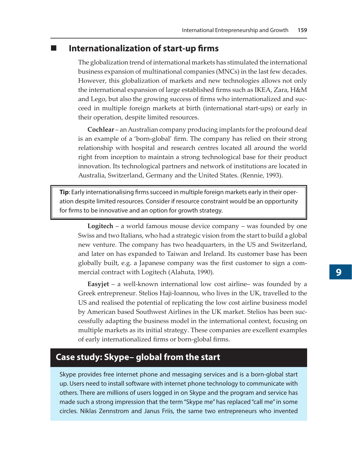#### **Internationalization of start-up firms**

The globalization trend of international markets has stimulated the international business expansion of multinational companies (MNCs) in the last few decades. However, this globalization of markets and new technologies allows not only the international expansion of large established firms such as IKEA, Zara, H&M and Lego, but also the growing success of firms who internationalized and succeed in multiple foreign markets at birth (international start-ups) or early in their operation, despite limited resources.

**Cochlear** – an Australian company producing implants for the profound deaf is an example of a 'born-global' firm. The company has relied on their strong relationship with hospital and research centres located all around the world right from inception to maintain a strong technological base for their product innovation. Its technological partners and network of institutions are located in Australia, Switzerland, Germany and the United States. (Rennie, 1993).

**Tip**: Early internationalising firms succeed in multiple foreign markets early in their operation despite limited resources. Consider if resource constraint would be an opportunity for firms to be innovative and an option for growth strategy.

**Logitech** – a world famous mouse device company – was founded by one Swiss and two Italians, who had a strategic vision from the start to build a global new venture. The company has two headquarters, in the US and Switzerland, and later on has expanded to Taiwan and Ireland. Its customer base has been globally built, e.g. a Japanese company was the first customer to sign a commercial contract with Logitech (Alahuta, 1990).

**Easyjet** – a well-known international low cost airline– was founded by a Greek entrepreneur. Stelios Haji-Ioannou, who lives in the UK, travelled to the US and realised the potential of replicating the low cost airline business model by American based Southwest Airlines in the UK market. Stelios has been successfully adapting the business model in the international context, focusing on multiple markets as its initial strategy. These companies are excellent examples of early internationalized firms or born-global firms.

## **Case study: Skype– global from the start**

Skype provides free internet phone and messaging services and is a born-global start up. Users need to install software with internet phone technology to communicate with others. There are millions of users logged in on Skype and the program and service has made such a strong impression that the term "Skype me" has replaced "call me" in some circles. Niklas Zennstrom and Janus Friis, the same two entrepreneurs who invented